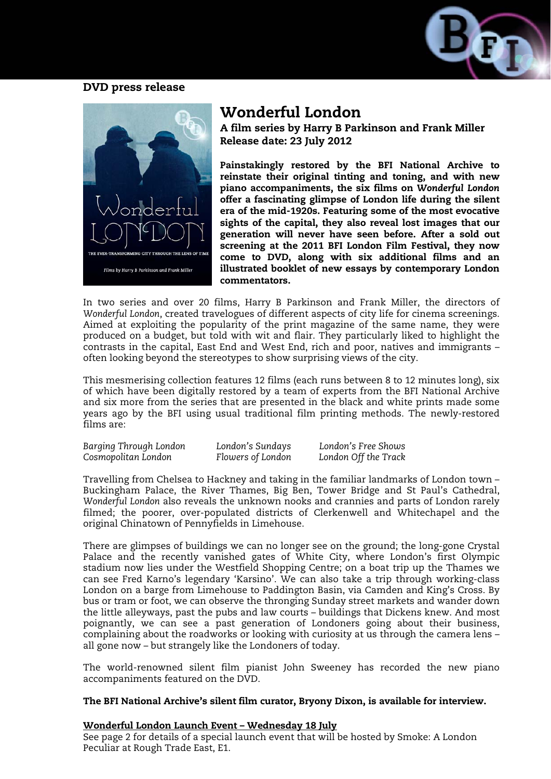



# Wonderful London

A film series by Harry B Parkinson and Frank Miller Release date: 23 July 2012

Painstakingly restored by the BFI National Archive to reinstate their original tinting and toning, and with new piano accompaniments, the six films on *Wonderful London* offer a fascinating glimpse of London life during the silent era of the mid-1920s. Featuring some of the most evocative sights of the capital, they also reveal lost images that our generation will never have seen before. After a sold out screening at the 2011 BFI London Film Festival, they now come to DVD, along with six additional films and an illustrated booklet of new essays by contemporary London commentators.

In two series and over 20 films, Harry B Parkinson and Frank Miller, the directors of *Wonderful London*, created travelogues of different aspects of city life for cinema screenings. Aimed at exploiting the popularity of the print magazine of the same name, they were produced on a budget, but told with wit and flair. They particularly liked to highlight the contrasts in the capital, East End and West End, rich and poor, natives and immigrants – often looking beyond the stereotypes to show surprising views of the city.

This mesmerising collection features 12 films (each runs between 8 to 12 minutes long), six of which have been digitally restored by a team of experts from the BFI National Archive and six more from the series that are presented in the black and white prints made some years ago by the BFI using usual traditional film printing methods. The newly-restored films are:

| Barging Through London | London's Sundays  | London's Free Shows  |
|------------------------|-------------------|----------------------|
| Cosmopolitan London    | Flowers of London | London Off the Track |

Travelling from Chelsea to Hackney and taking in the familiar landmarks of London town – Buckingham Palace, the River Thames, Big Ben, Tower Bridge and St Paul's Cathedral, *Wonderful London* also reveals the unknown nooks and crannies and parts of London rarely filmed; the poorer, over-populated districts of Clerkenwell and Whitechapel and the original Chinatown of Pennyfields in Limehouse.

There are glimpses of buildings we can no longer see on the ground; the long-gone Crystal Palace and the recently vanished gates of White City, where London's first Olympic stadium now lies under the Westfield Shopping Centre; on a boat trip up the Thames we can see Fred Karno's legendary 'Karsino'. We can also take a trip through working-class London on a barge from Limehouse to Paddington Basin, via Camden and King's Cross. By bus or tram or foot, we can observe the thronging Sunday street markets and wander down the little alleyways, past the pubs and law courts – buildings that Dickens knew. And most poignantly, we can see a past generation of Londoners going about their business, complaining about the roadworks or looking with curiosity at us through the camera lens – all gone now – but strangely like the Londoners of today.

The world-renowned silent film pianist John Sweeney has recorded the new piano accompaniments featured on the DVD.

# The BFI National Archive's silent film curator, Bryony Dixon, is available for interview.

# Wonderful London Launch Event – Wednesday 18 July

See page 2 for details of a special launch event that will be hosted by Smoke: A London Peculiar at Rough Trade East, E1.